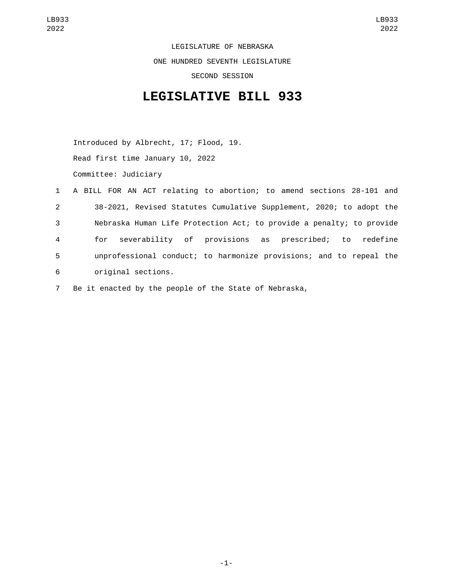LEGISLATURE OF NEBRASKA ONE HUNDRED SEVENTH LEGISLATURE SECOND SESSION

## **LEGISLATIVE BILL 933**

Introduced by Albrecht, 17; Flood, 19. Read first time January 10, 2022 Committee: Judiciary

- 1 A BILL FOR AN ACT relating to abortion; to amend sections 28-101 and 2 38-2021, Revised Statutes Cumulative Supplement, 2020; to adopt the 3 Nebraska Human Life Protection Act; to provide a penalty; to provide 4 for severability of provisions as prescribed; to redefine 5 unprofessional conduct; to harmonize provisions; and to repeal the original sections.6
- 7 Be it enacted by the people of the State of Nebraska,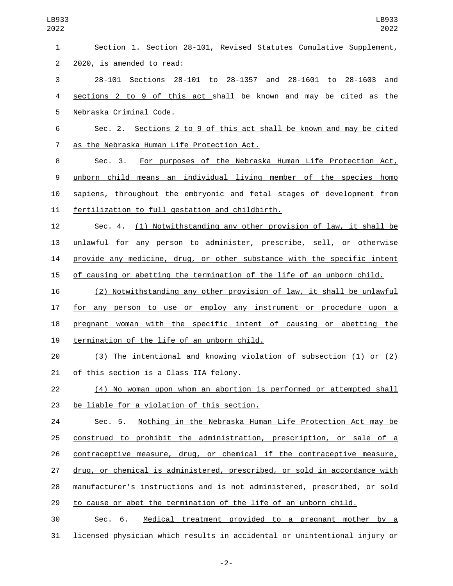| LB933<br>2022  | LB933<br>2022                                                             |
|----------------|---------------------------------------------------------------------------|
| 1              | Section 1. Section 28-101, Revised Statutes Cumulative Supplement,        |
| $\overline{2}$ | 2020, is amended to read:                                                 |
| 3              | 28-1603<br>28-101 Sections 28-101 to 28-1357 and 28-1601 to<br>and        |
| 4              | sections 2 to 9 of this act shall be known and may be cited as the        |
| 5              | Nebraska Criminal Code.                                                   |
| 6              | Sections 2 to 9 of this act shall be known and may be cited<br>Sec. 2.    |
| $\overline{7}$ | as the Nebraska Human Life Protection Act.                                |
| 8              | For purposes of the Nebraska Human Life Protection Act,<br>Sec. 3.        |
| 9              | unborn child means an individual living member of the species homo        |
| 10             | sapiens, throughout the embryonic and fetal stages of development from    |
| 11             | fertilization to full gestation and childbirth.                           |
| 12             | (1) Notwithstanding any other provision of law, it shall be<br>Sec. 4.    |
| 13             | unlawful for any person to administer, prescribe, sell, or otherwise      |
| 14             | provide any medicine, drug, or other substance with the specific intent   |
| 15             | of causing or abetting the termination of the life of an unborn child.    |
| 16             | Notwithstanding any other provision of law, it shall be unlawful<br>(2)   |
| 17             | for any person to use or employ any instrument or procedure upon a        |
| 18             | pregnant woman with the specific intent of causing or abetting the        |
| 19             | termination of the life of an unborn child.                               |
| 20             | (3) The intentional and knowing violation of subsection (1) or (2)        |
| 21             | of this section is a Class IIA felony.                                    |
| 22             | (4) No woman upon whom an abortion is performed or attempted shall        |
| 23             | be liable for a violation of this section.                                |
| 24             | Nothing in the Nebraska Human Life Protection Act may be<br>Sec. 5.       |
| 25             | construed to prohibit the administration, prescription, or sale of a      |
| 26             | contraceptive measure, drug, or chemical if the contraceptive measure,    |
| 27             | drug, or chemical is administered, prescribed, or sold in accordance with |
| 28             | manufacturer's instructions and is not administered, prescribed, or sold  |
| 29             | to cause or abet the termination of the life of an unborn child.          |
| 30             | 6.<br>Medical treatment provided to a pregnant mother by a<br>Sec.        |
| 31             | licensed physician which results in accidental or unintentional injury or |

-2-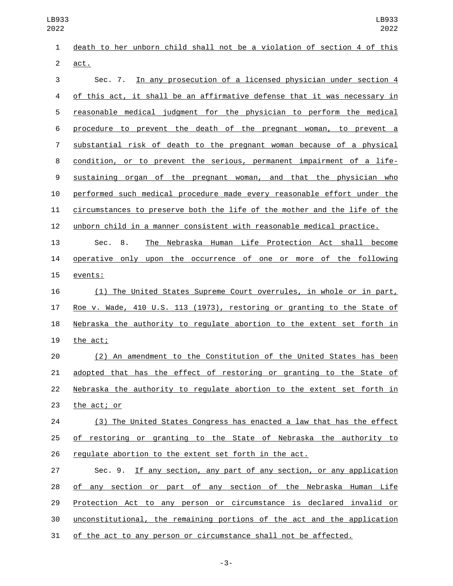death to her unborn child shall not be a violation of section 4 of this 2 act. Sec. 7. In any prosecution of a licensed physician under section 4 4 of this act, it shall be an affirmative defense that it was necessary in reasonable medical judgment for the physician to perform the medical procedure to prevent the death of the pregnant woman, to prevent a substantial risk of death to the pregnant woman because of a physical condition, or to prevent the serious, permanent impairment of a life- sustaining organ of the pregnant woman, and that the physician who performed such medical procedure made every reasonable effort under the circumstances to preserve both the life of the mother and the life of the unborn child in a manner consistent with reasonable medical practice. Sec. 8. The Nebraska Human Life Protection Act shall become 14 operative only upon the occurrence of one or more of the following 15 events: (1) The United States Supreme Court overrules, in whole or in part, Roe v. Wade, 410 U.S. 113 (1973), restoring or granting to the State of Nebraska the authority to regulate abortion to the extent set forth in 19 the act; (2) An amendment to the Constitution of the United States has been LB933 LB933 

 adopted that has the effect of restoring or granting to the State of Nebraska the authority to regulate abortion to the extent set forth in 23 the act; or

 (3) The United States Congress has enacted a law that has the effect of restoring or granting to the State of Nebraska the authority to regulate abortion to the extent set forth in the act.

 Sec. 9. If any section, any part of any section, or any application of any section or part of any section of the Nebraska Human Life Protection Act to any person or circumstance is declared invalid or unconstitutional, the remaining portions of the act and the application of the act to any person or circumstance shall not be affected.